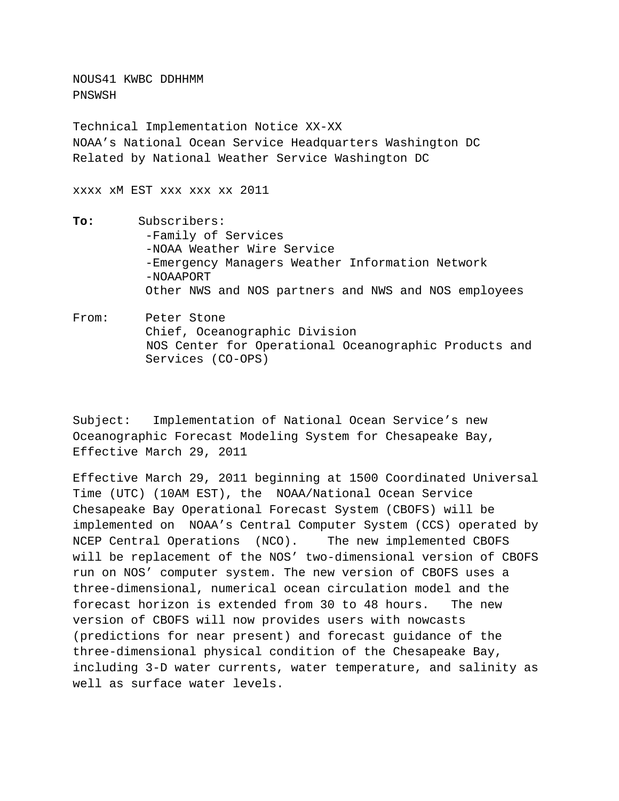NOUS41 KWBC DDHHMM PNSWSH

Technical Implementation Notice XX-XX NOAA's National Ocean Service Headquarters Washington DC Related by National Weather Service Washington DC

xxxx xM EST xxx xxx xx 2011

- **To:** Subscribers: -Family of Services -NOAA Weather Wire Service -Emergency Managers Weather Information Network -NOAAPORT Other NWS and NOS partners and NWS and NOS employees
- From: Peter Stone Chief, Oceanographic Division NOS Center for Operational Oceanographic Products and Services (CO-OPS)

Subject:Implementation of National Ocean Service's new Oceanographic Forecast Modeling System for Chesapeake Bay, Effective March 29, 2011

Effective March 29, 2011 beginning at 1500 Coordinated Universal Time (UTC) (10AM EST), the NOAA/National Ocean Service Chesapeake Bay Operational Forecast System (CBOFS) will be implemented on NOAA's Central Computer System (CCS) operated by NCEP Central Operations (NCO). The new implemented CBOFS will be replacement of the NOS' two-dimensional version of CBOFS run on NOS' computer system. The new version of CBOFS uses a three-dimensional, numerical ocean circulation model and the forecast horizon is extended from 30 to 48 hours. The new version of CBOFS will now provides users with nowcasts (predictions for near present) and forecast guidance of the three-dimensional physical condition of the Chesapeake Bay, including 3-D water currents, water temperature, and salinity as well as surface water levels.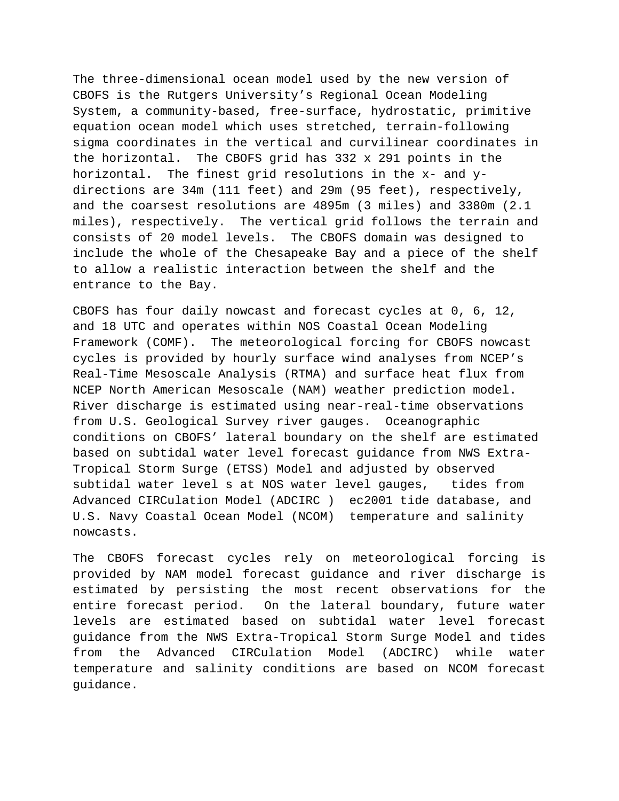The three-dimensional ocean model used by the new version of CBOFS is the Rutgers University's Regional Ocean Modeling System, a community-based, free-surface, hydrostatic, primitive equation ocean model which uses stretched, terrain-following sigma coordinates in the vertical and curvilinear coordinates in the horizontal. The CBOFS grid has 332 x 291 points in the horizontal. The finest grid resolutions in the x- and ydirections are 34m (111 feet) and 29m (95 feet), respectively, and the coarsest resolutions are 4895m (3 miles) and 3380m (2.1 miles), respectively. The vertical grid follows the terrain and consists of 20 model levels. The CBOFS domain was designed to include the whole of the Chesapeake Bay and a piece of the shelf to allow a realistic interaction between the shelf and the entrance to the Bay.

CBOFS has four daily nowcast and forecast cycles at 0, 6, 12, and 18 UTC and operates within NOS Coastal Ocean Modeling Framework (COMF). The meteorological forcing for CBOFS nowcast cycles is provided by hourly surface wind analyses from NCEP's Real-Time Mesoscale Analysis (RTMA) and surface heat flux from NCEP North American Mesoscale (NAM) weather prediction model. River discharge is estimated using near-real-time observations from U.S. Geological Survey river gauges. Oceanographic conditions on CBOFS' lateral boundary on the shelf are estimated based on subtidal water level forecast guidance from NWS Extra-Tropical Storm Surge (ETSS) Model and adjusted by observed subtidal water level s at NOS water level gauges, tides from Advanced CIRCulation Model (ADCIRC ) ec2001 tide database, and U.S. Navy Coastal Ocean Model (NCOM) temperature and salinity nowcasts.

The CBOFS forecast cycles rely on meteorological forcing is provided by NAM model forecast guidance and river discharge is estimated by persisting the most recent observations for the entire forecast period. On the lateral boundary, future water levels are estimated based on subtidal water level forecast guidance from the NWS Extra-Tropical Storm Surge Model and tides from the Advanced CIRCulation Model (ADCIRC) while water temperature and salinity conditions are based on NCOM forecast guidance.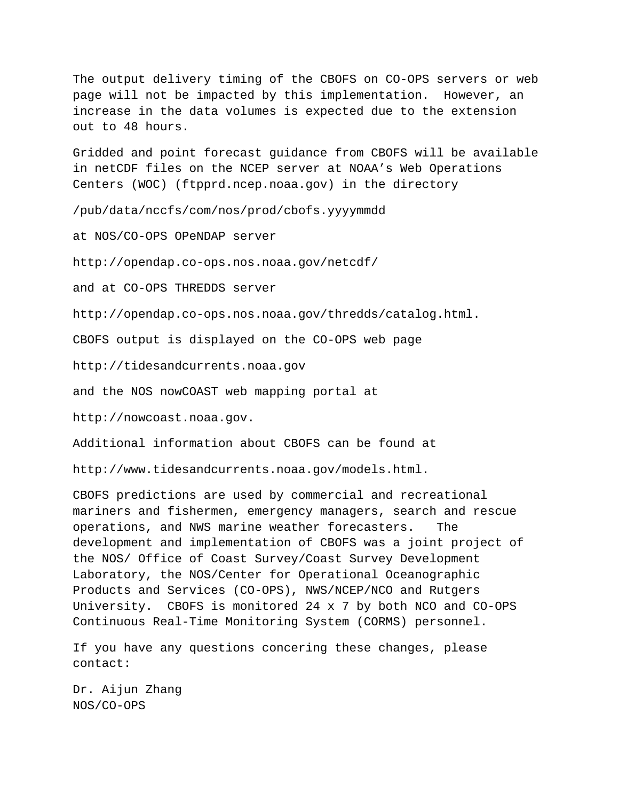The output delivery timing of the CBOFS on CO-OPS servers or web page will not be impacted by this implementation. However, an increase in the data volumes is expected due to the extension out to 48 hours.

Gridded and point forecast guidance from CBOFS will be available in netCDF files on the NCEP server at NOAA's Web Operations Centers (WOC) (ftpprd.ncep.noaa.gov) in the directory

/pub/data/nccfs/com/nos/prod/cbofs.yyyymmdd

at NOS/CO-OPS OPeNDAP server

<http://opendap.co-ops.nos.noaa.gov/netcdf/>

and at CO-OPS THREDDS server

[http://opendap.co-ops.nos.noaa.gov/thredds/catalog.html.](http://opendap.co-ops.nos.noaa.gov/thredds/catalog.html)

CBOFS output is displayed on the CO-OPS web page

[http://tidesandcurrents.noaa.gov](http://tidesandcurrents.noaa.gov/)

and the NOS nowCOAST web mapping portal at

[http://nowcoast.noaa.gov.](http://nowcoast.noaa.gov/)

Additional information about CBOFS can be found at

http://www.tidesandcurrents.noaa.gov/models.html.

CBOFS predictions are used by commercial and recreational mariners and fishermen, emergency managers, search and rescue operations, and NWS marine weather forecasters. The development and implementation of CBOFS was a joint project of the NOS/ Office of Coast Survey/Coast Survey Development Laboratory, the NOS/Center for Operational Oceanographic Products and Services (CO-OPS), NWS/NCEP/NCO and Rutgers University. CBOFS is monitored 24 x 7 by both NCO and CO-OPS Continuous Real-Time Monitoring System (CORMS) personnel.

If you have any questions concering these changes, please contact:

Dr. Aijun Zhang NOS/CO-OPS